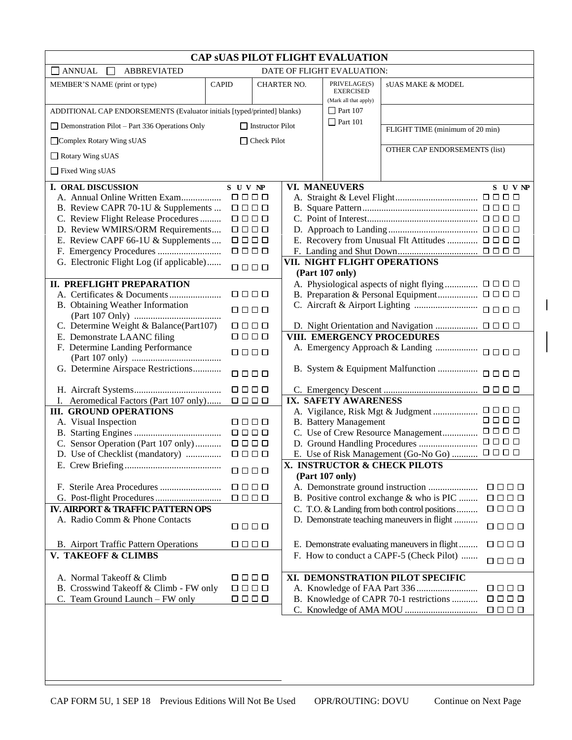| <b>CAP SUAS PILOT FLIGHT EVALUATION</b>                                          |                                                                      |             |  |                                                           |                                                               |                                                                                                                                              |  |  |  |
|----------------------------------------------------------------------------------|----------------------------------------------------------------------|-------------|--|-----------------------------------------------------------|---------------------------------------------------------------|----------------------------------------------------------------------------------------------------------------------------------------------|--|--|--|
| <b>ANNUAL</b><br><b>ABBREVIATED</b><br>DATE OF FLIGHT EVALUATION:                |                                                                      |             |  |                                                           |                                                               |                                                                                                                                              |  |  |  |
| MEMBER'S NAME (print or type)                                                    | <b>CAPID</b>                                                         | CHARTER NO. |  | PRIVELAGE(S)<br><b>EXERCISED</b><br>(Mark all that apply) | sUAS MAKE & MODEL                                             |                                                                                                                                              |  |  |  |
| ADDITIONAL CAP ENDORSEMENTS (Evaluator initials [typed/printed] blanks)          |                                                                      |             |  | $\Box$ Part 107                                           |                                                               |                                                                                                                                              |  |  |  |
| $\Box$ Demonstration Pilot - Part 336 Operations Only<br>$\Box$ Instructor Pilot |                                                                      |             |  | $\Box$ Part 101                                           | FLIGHT TIME (minimum of 20 min)                               |                                                                                                                                              |  |  |  |
| $\Box$ Check Pilot<br>□ Complex Rotary Wing sUAS                                 |                                                                      |             |  |                                                           |                                                               |                                                                                                                                              |  |  |  |
| Rotary Wing sUAS                                                                 |                                                                      |             |  |                                                           | OTHER CAP ENDORSEMENTS (list)                                 |                                                                                                                                              |  |  |  |
| $\Box$ Fixed Wing sUAS                                                           |                                                                      |             |  |                                                           |                                                               |                                                                                                                                              |  |  |  |
| <b>I. ORAL DISCUSSION</b>                                                        | S U V NP                                                             |             |  | <b>VI. MANEUVERS</b>                                      |                                                               | S U V NP                                                                                                                                     |  |  |  |
|                                                                                  | 0000                                                                 |             |  |                                                           |                                                               |                                                                                                                                              |  |  |  |
| B. Review CAPR 70-1U & Supplements                                               | 0000                                                                 |             |  |                                                           |                                                               |                                                                                                                                              |  |  |  |
| C. Review Flight Release Procedures                                              | 0000                                                                 |             |  |                                                           |                                                               |                                                                                                                                              |  |  |  |
| D. Review WMIRS/ORM Requirements                                                 | $\begin{array}{c} \square \ \square \ \square \ \square \end{array}$ |             |  |                                                           |                                                               |                                                                                                                                              |  |  |  |
| E. Review CAPF 66-1U & Supplements                                               | 0000                                                                 |             |  |                                                           | E. Recovery from Unusual Flt Attitudes                        | 0000                                                                                                                                         |  |  |  |
|                                                                                  | 0000                                                                 |             |  |                                                           |                                                               |                                                                                                                                              |  |  |  |
| G. Electronic Flight Log (if applicable)                                         | 0000                                                                 |             |  |                                                           | VII. NIGHT FLIGHT OPERATIONS                                  |                                                                                                                                              |  |  |  |
|                                                                                  |                                                                      |             |  | (Part 107 only)                                           |                                                               |                                                                                                                                              |  |  |  |
| <b>II. PREFLIGHT PREPARATION</b>                                                 |                                                                      |             |  |                                                           | A. Physiological aspects of night flying $\Box$ $\Box$ $\Box$ |                                                                                                                                              |  |  |  |
|                                                                                  | 0000                                                                 |             |  |                                                           |                                                               |                                                                                                                                              |  |  |  |
| B. Obtaining Weather Information                                                 | 0000                                                                 |             |  |                                                           |                                                               | $\begin{array}{cccccccccccccc} \square & \square & \square & \square & \square \end{array}$                                                  |  |  |  |
| C. Determine Weight & Balance(Part107)                                           | 0000                                                                 |             |  |                                                           |                                                               |                                                                                                                                              |  |  |  |
| E. Demonstrate LAANC filing                                                      | 0000                                                                 |             |  |                                                           | VIII. EMERGENCY PROCEDURES                                    |                                                                                                                                              |  |  |  |
| F. Determine Landing Performance                                                 |                                                                      |             |  |                                                           |                                                               |                                                                                                                                              |  |  |  |
|                                                                                  | $\Box \quad \Box \quad \Box \quad \Box$                              |             |  |                                                           |                                                               |                                                                                                                                              |  |  |  |
| G. Determine Airspace Restrictions                                               | 0000                                                                 |             |  |                                                           | B. System & Equipment Malfunction                             | $\begin{array}{c} \square \ \square \ \square \ \square \end{array}$                                                                         |  |  |  |
|                                                                                  | <b>0000</b>                                                          |             |  |                                                           |                                                               | 0000                                                                                                                                         |  |  |  |
| I. Aeromedical Factors (Part 107 only)                                           | $\begin{array}{c} \square \ \square \ \square \ \square \end{array}$ |             |  | <b>IX. SAFETY AWARENESS</b>                               |                                                               |                                                                                                                                              |  |  |  |
| <b>III. GROUND OPERATIONS</b>                                                    |                                                                      |             |  |                                                           | A. Vigilance, Risk Mgt & Judgment                             | 0000                                                                                                                                         |  |  |  |
| A. Visual Inspection                                                             | 0000                                                                 |             |  | <b>B.</b> Battery Management                              |                                                               | 0000                                                                                                                                         |  |  |  |
|                                                                                  | $\begin{array}{c} \square \ \square \ \square \ \square \end{array}$ |             |  |                                                           | C. Use of Crew Resource Management                            | 0000                                                                                                                                         |  |  |  |
| C. Sensor Operation (Part 107 only)                                              | $\begin{array}{c} \square \ \square \ \square \ \square \end{array}$ |             |  |                                                           |                                                               | $\begin{array}{c} \square \ \square \ \square \ \square \end{array}$<br>$\begin{array}{c} \square \ \square \ \square \ \square \end{array}$ |  |  |  |
| D. Use of Checklist (mandatory)                                                  | 0000                                                                 |             |  |                                                           | E. Use of Risk Management (Go-No Go)                          |                                                                                                                                              |  |  |  |
|                                                                                  |                                                                      |             |  | (Part 107 only)                                           | X. INSTRUCTOR & CHECK PILOTS                                  |                                                                                                                                              |  |  |  |
|                                                                                  | 0000                                                                 |             |  |                                                           | A. Demonstrate ground instruction                             | $\begin{array}{c} \square \ \square \ \square \ \square \end{array}$                                                                         |  |  |  |
|                                                                                  | 0000                                                                 |             |  |                                                           | B. Positive control exchange & who is PIC                     | 0000                                                                                                                                         |  |  |  |
| IV. AIRPORT & TRAFFIC PATTERN OPS                                                |                                                                      |             |  |                                                           | C. T.O. & Landing from both control positions                 | 0000                                                                                                                                         |  |  |  |
| A. Radio Comm & Phone Contacts                                                   |                                                                      |             |  |                                                           | D. Demonstrate teaching maneuvers in flight                   |                                                                                                                                              |  |  |  |
|                                                                                  | 0000                                                                 |             |  |                                                           |                                                               | 0000                                                                                                                                         |  |  |  |
| B. Airport Traffic Pattern Operations                                            | 0000                                                                 |             |  |                                                           | E. Demonstrate evaluating maneuvers in flight                 | 0000                                                                                                                                         |  |  |  |
| V. TAKEOFF & CLIMBS                                                              |                                                                      |             |  |                                                           | F. How to conduct a CAPF-5 (Check Pilot)                      | 0000                                                                                                                                         |  |  |  |
| A. Normal Takeoff & Climb                                                        | 0000                                                                 |             |  |                                                           | XI. DEMONSTRATION PILOT SPECIFIC                              |                                                                                                                                              |  |  |  |
| B. Crosswind Takeoff & Climb - FW only                                           | $\begin{array}{c} \square \ \square \ \square \ \square \end{array}$ |             |  |                                                           |                                                               | 0000                                                                                                                                         |  |  |  |
| C. Team Ground Launch - FW only                                                  | 0000                                                                 |             |  |                                                           | B. Knowledge of CAPR 70-1 restrictions                        | 0000                                                                                                                                         |  |  |  |
|                                                                                  |                                                                      |             |  |                                                           |                                                               | 0000                                                                                                                                         |  |  |  |
|                                                                                  |                                                                      |             |  |                                                           |                                                               |                                                                                                                                              |  |  |  |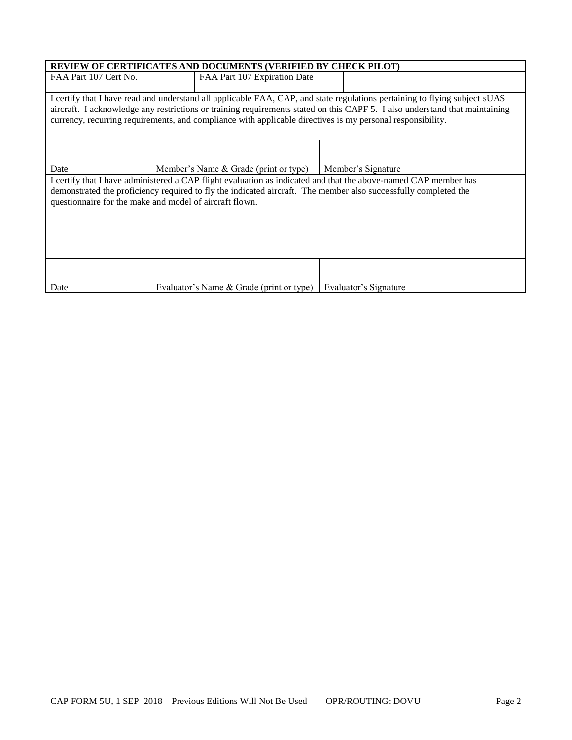| <b>REVIEW OF CERTIFICATES AND DOCUMENTS (VERIFIED BY CHECK PILOT)</b>                                                                                                                                                                                                                                                                                                   |  |                              |  |  |  |  |  |  |
|-------------------------------------------------------------------------------------------------------------------------------------------------------------------------------------------------------------------------------------------------------------------------------------------------------------------------------------------------------------------------|--|------------------------------|--|--|--|--|--|--|
| FAA Part 107 Cert No.                                                                                                                                                                                                                                                                                                                                                   |  | FAA Part 107 Expiration Date |  |  |  |  |  |  |
| I certify that I have read and understand all applicable FAA, CAP, and state regulations pertaining to flying subject sUAS<br>aircraft. I acknowledge any restrictions or training requirements stated on this CAPF 5. I also understand that maintaining<br>currency, recurring requirements, and compliance with applicable directives is my personal responsibility. |  |                              |  |  |  |  |  |  |
| Date                                                                                                                                                                                                                                                                                                                                                                    |  |                              |  |  |  |  |  |  |
| I certify that I have administered a CAP flight evaluation as indicated and that the above-named CAP member has<br>demonstrated the proficiency required to fly the indicated aircraft. The member also successfully completed the<br>questionnaire for the make and model of aircraft flown.                                                                           |  |                              |  |  |  |  |  |  |
|                                                                                                                                                                                                                                                                                                                                                                         |  |                              |  |  |  |  |  |  |
|                                                                                                                                                                                                                                                                                                                                                                         |  |                              |  |  |  |  |  |  |
| Member's Name & Grade (print or type)   Member's Signature<br>Evaluator's Name & Grade (print or type)<br>Evaluator's Signature<br>Date                                                                                                                                                                                                                                 |  |                              |  |  |  |  |  |  |